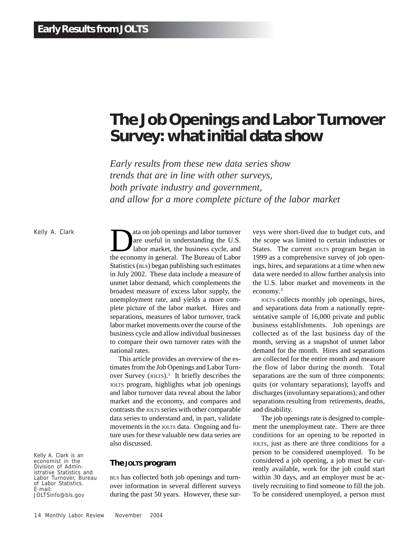# **The Job Openings and Labor Turnover Survey: what initial data show**

*Early results from these new data series show trends that are in line with other surveys, both private industry and government, and allow for a more complete picture of the labor market*

Kelly A. Clark

Kelly A. Clark is an economist in the Division of Administrative Statistics and Labor Turnover, Bureau of Labor Statistics. E-mail: JOLTSinfo@bls.gov

ata on job openings and labor turnover<br>are useful in understanding the U.S.<br>labor market, the business cycle, and<br>the economy in sensor. The Bureau of Labor are useful in understanding the U.S. labor market, the business cycle, and the economy in general. The Bureau of Labor Statistics (BLS) began publishing such estimates in July 2002. These data include a measure of unmet labor demand, which complements the broadest measure of excess labor supply, the unemployment rate, and yields a more complete picture of the labor market. Hires and separations, measures of labor turnover, track labor market movements over the course of the business cycle and allow individual businesses to compare their own turnover rates with the national rates.

This article provides an overview of the estimates from the Job Openings and Labor Turnover Survey (JOLTS).<sup>1</sup> It briefly describes the JOLTS program, highlights what job openings and labor turnover data reveal about the labor market and the economy, and compares and contrasts the JOLTS series with other comparable data series to understand and, in part, validate movements in the JOLTS data. Ongoing and future uses for these valuable new data series are also discussed.

# **The JOLTS program**

BLS has collected both job openings and turnover information in several different surveys during the past 50 years. However, these surveys were short-lived due to budget cuts, and the scope was limited to certain industries or States. The current JOLTS program began in 1999 as a comprehensive survey of job openings, hires, and separations at a time when new data were needed to allow further analysis into the U.S. labor market and movements in the economy. 2

JOLTS collects monthly job openings, hires, and separations data from a nationally representative sample of 16,000 private and public business establishments. Job openings are collected as of the last business day of the month, serving as a snapshot of unmet labor demand for the month. Hires and separations are collected for the entire month and measure the flow of labor during the month. Total separations are the sum of three components: quits (or voluntary separations); layoffs and discharges (involuntary separations); and other separations resulting from retirements, deaths, and disability.

The job openings rate is designed to complement the unemployment rate. There are three conditions for an opening to be reported in JOLTS, just as there are three conditions for a person to be considered unemployed. To be considered a job opening, a job must be currently available, work for the job could start within 30 days, and an employer must be actively recruiting to find someone to fill the job. To be considered unemployed, a person must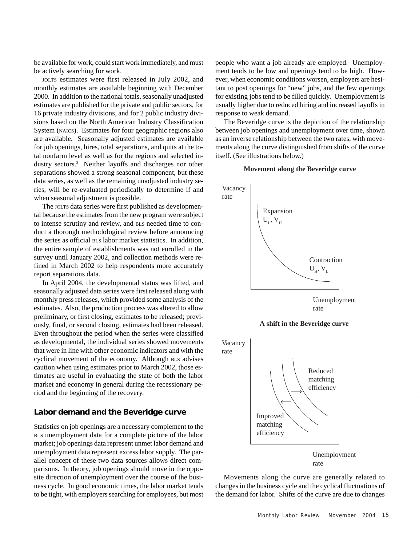be available for work, could start work immediately, and must be actively searching for work.

JOLTS estimates were first released in July 2002, and monthly estimates are available beginning with December 2000. In addition to the national totals, seasonally unadjusted estimates are published for the private and public sectors, for 16 private industry divisions, and for 2 public industry divisions based on the North American Industry Classification System (NAICS). Estimates for four geographic regions also are available. Seasonally adjusted estimates are available for job openings, hires, total separations, and quits at the total nonfarm level as well as for the regions and selected industry sectors.3 Neither layoffs and discharges nor other separations showed a strong seasonal component, but these data series, as well as the remaining unadjusted industry series, will be re-evaluated periodically to determine if and when seasonal adjustment is possible.

The JOLTS data series were first published as developmental because the estimates from the new program were subject to intense scrutiny and review, and BLS needed time to conduct a thorough methodological review before announcing the series as official BLS labor market statistics. In addition, the entire sample of establishments was not enrolled in the survey until January 2002, and collection methods were refined in March 2002 to help respondents more accurately report separations data.

In April 2004, the developmental status was lifted, and seasonally adjusted data series were first released along with monthly press releases, which provided some analysis of the estimates. Also, the production process was altered to allow preliminary, or first closing, estimates to be released; previously, final, or second closing, estimates had been released. Even throughout the period when the series were classified as developmental, the individual series showed movements that were in line with other economic indicators and with the cyclical movement of the economy. Although BLS advises caution when using estimates prior to March 2002, those estimates are useful in evaluating the state of both the labor market and economy in general during the recessionary period and the beginning of the recovery.

# **Labor demand and the Beveridge curve**

Statistics on job openings are a necessary complement to the BLS unemployment data for a complete picture of the labor market; job openings data represent unmet labor demand and unemployment data represent excess labor supply. The parallel concept of these two data sources allows direct comparisons. In theory, job openings should move in the opposite direction of unemployment over the course of the business cycle. In good economic times, the labor market tends to be tight, with employers searching for employees, but most people who want a job already are employed. Unemployment tends to be low and openings tend to be high. However, when economic conditions worsen, employers are hesitant to post openings for "new" jobs, and the few openings for existing jobs tend to be filled quickly. Unemployment is usually higher due to reduced hiring and increased layoffs in response to weak demand.

The Beveridge curve is the depiction of the relationship between job openings and unemployment over time, shown as an inverse relationship between the two rates, with movements along the curve distinguished from shifts of the curve itself. (See illustrations below.)

#### **Movement along the Beveridge curve**



Movements along the curve are generally related to changes in the business cycle and the cyclical fluctuations of the demand for labor. Shifts of the curve are due to changes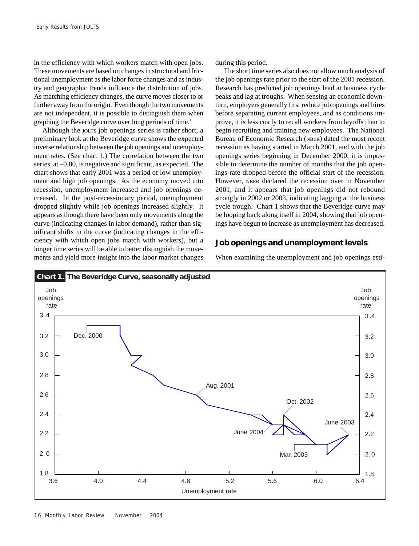in the efficiency with which workers match with open jobs. These movements are based on changes in structural and frictional unemployment as the labor force changes and as industry and geographic trends influence the distribution of jobs. As matching efficiency changes, the curve moves closer to or further away from the origin. Even though the two movements are not independent, it is possible to distinguish them when graphing the Beveridge curve over long periods of time.4

Although the JOLTS job openings series is rather short, a preliminary look at the Beveridge curve shows the expected inverse relationship between the job openings and unemployment rates. (See chart 1.) The correlation between the two series, at –0.80, is negative and significant, as expected. The chart shows that early 2001 was a period of low unemployment and high job openings. As the economy moved into recession, unemployment increased and job openings decreased. In the post-recessionary period, unemployment dropped slightly while job openings increased slightly. It appears as though there have been only movements along the curve (indicating changes in labor demand), rather than significant shifts in the curve (indicating changes in the efficiency with which open jobs match with workers), but a longer time series will be able to better distinguish the movements and yield more insight into the labor market changes during this period.

The short time series also does not allow much analysis of the job openings rate prior to the start of the 2001 recession. Research has predicted job openings lead at business cycle peaks and lag at troughs. When sensing an economic downturn, employers generally first reduce job openings and hires before separating current employees, and as conditions improve, it is less costly to recall workers from layoffs than to begin recruiting and training new employees. The National Bureau of Economic Research (NBER) dated the most recent recession as having started in March 2001, and with the job openings series beginning in December 2000, it is impossible to determine the number of months that the job openings rate dropped before the official start of the recession. However, NBER declared the recession over in November 2001, and it appears that job openings did not rebound strongly in 2002 or 2003, indicating lagging at the business cycle trough. Chart 1 shows that the Beveridge curve may be looping back along itself in 2004, showing that job openings have begun to increase as unemployment has decreased.

# **Job openings and unemployment levels**

When examining the unemployment and job openings esti-

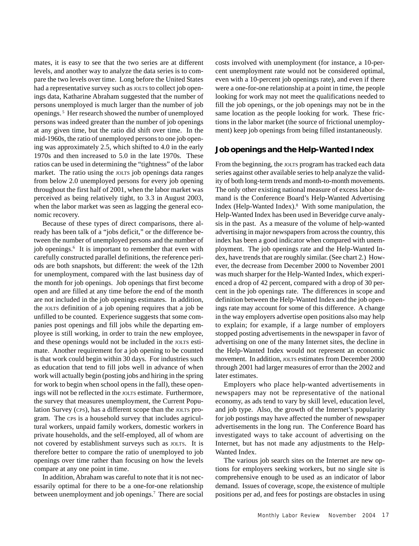mates, it is easy to see that the two series are at different levels, and another way to analyze the data series is to compare the two levels over time. Long before the United States had a representative survey such as *JOLTS* to collect job openings data, Katharine Abraham suggested that the number of persons unemployed is much larger than the number of job openings. 5 Her research showed the number of unemployed persons was indeed greater than the number of job openings at any given time, but the ratio did shift over time. In the mid-1960s, the ratio of unemployed persons to one job opening was approximately 2.5, which shifted to 4.0 in the early 1970s and then increased to 5.0 in the late 1970s. These ratios can be used in determining the "tightness" of the labor market. The ratio using the JOLTS job openings data ranges from below 2.0 unemployed persons for every job opening throughout the first half of 2001, when the labor market was perceived as being relatively tight, to 3.3 in August 2003, when the labor market was seen as lagging the general economic recovery.

Because of these types of direct comparisons, there already has been talk of a "jobs deficit," or the difference between the number of unemployed persons and the number of job openings.<sup>6</sup> It is important to remember that even with carefully constructed parallel definitions, the reference periods are both snapshots, but different: the week of the 12th for unemployment, compared with the last business day of the month for job openings. Job openings that first become open and are filled at any time before the end of the month are not included in the job openings estimates. In addition, the JOLTS definition of a job opening requires that a job be unfilled to be counted. Experience suggests that some companies post openings and fill jobs while the departing employee is still working, in order to train the new employee, and these openings would not be included in the JOLTS estimate. Another requirement for a job opening to be counted is that work could begin within 30 days. For industries such as education that tend to fill jobs well in advance of when work will actually begin (posting jobs and hiring in the spring for work to begin when school opens in the fall), these openings will not be reflected in the JOLTS estimate. Furthermore, the survey that measures unemployment, the Current Population Survey (CPS), has a different scope than the JOLTS program. The CPS is a household survey that includes agricultural workers, unpaid family workers, domestic workers in private households, and the self-employed, all of whom are not covered by establishment surveys such as JOLTS. It is therefore better to compare the ratio of unemployed to job openings over time rather than focusing on how the levels compare at any one point in time.

In addition, Abraham was careful to note that it is not necessarily optimal for there to be a one-for-one relationship between unemployment and job openings.<sup>7</sup> There are social

costs involved with unemployment (for instance, a 10-percent unemployment rate would not be considered optimal, even with a 10-percent job openings rate), and even if there were a one-for-one relationship at a point in time, the people looking for work may not meet the qualifications needed to fill the job openings, or the job openings may not be in the same location as the people looking for work. These frictions in the labor market (the source of frictional unemployment) keep job openings from being filled instantaneously.

# **Job openings and the Help-Wanted Index**

From the beginning, the JOLTS program has tracked each data series against other available series to help analyze the validity of both long-term trends and month-to-month movements. The only other existing national measure of excess labor demand is the Conference Board's Help-Wanted Advertising Index (Help-Wanted Index).<sup>8</sup> With some manipulation, the Help-Wanted Index has been used in Beveridge curve analysis in the past. As a measure of the volume of help-wanted advertising in major newspapers from across the country, this index has been a good indicator when compared with unemployment. The job openings rate and the Help-Wanted Index, have trends that are roughly similar. (See chart 2.) However, the decrease from December 2000 to November 2001 was much sharper for the Help-Wanted Index, which experienced a drop of 42 percent, compared with a drop of 30 percent in the job openings rate. The differences in scope and definition between the Help-Wanted Index and the job openings rate may account for some of this difference. A change in the way employers advertise open positions also may help to explain; for example, if a large number of employers stopped posting advertisements in the newspaper in favor of advertising on one of the many Internet sites, the decline in the Help-Wanted Index would not represent an economic movement. In addition, JOLTS estimates from December 2000 through 2001 had larger measures of error than the 2002 and later estimates.

Employers who place help-wanted advertisements in newspapers may not be representative of the national economy, as ads tend to vary by skill level, education level, and job type. Also, the growth of the Internet's popularity for job postings may have affected the number of newspaper advertisements in the long run. The Conference Board has investigated ways to take account of advertising on the Internet, but has not made any adjustments to the Help-Wanted Index.

The various job search sites on the Internet are new options for employers seeking workers, but no single site is comprehensive enough to be used as an indicator of labor demand. Issues of coverage, scope, the existence of multiple positions per ad, and fees for postings are obstacles in using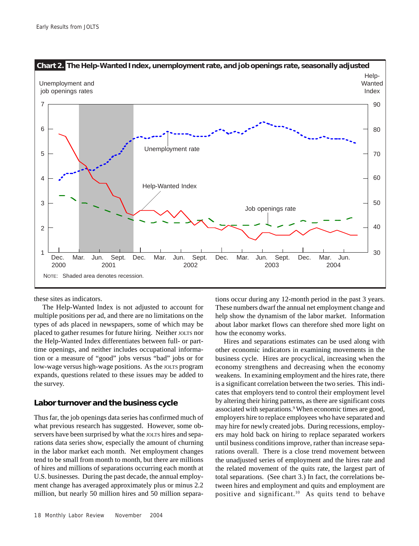

these sites as indicators.

The Help-Wanted Index is not adjusted to account for multiple positions per ad, and there are no limitations on the types of ads placed in newspapers, some of which may be placed to gather resumes for future hiring. Neither JOLTS nor the Help-Wanted Index differentiates between full- or parttime openings, and neither includes occupational information or a measure of "good" jobs versus "bad" jobs or for low-wage versus high-wage positions. As the JOLTS program expands, questions related to these issues may be added to the survey.

# **Labor turnover and the business cycle**

Thus far, the job openings data series has confirmed much of what previous research has suggested. However, some observers have been surprised by what the JOLTS hires and separations data series show, especially the amount of churning in the labor market each month. Net employment changes tend to be small from month to month, but there are millions of hires and millions of separations occurring each month at U.S. businesses. During the past decade, the annual employment change has averaged approximately plus or minus 2.2 million, but nearly 50 million hires and 50 million separa-

18 Monthly Labor ReviewNovember 2004

tions occur during any 12-month period in the past 3 years. These numbers dwarf the annual net employment change and help show the dynamism of the labor market. Information about labor market flows can therefore shed more light on how the economy works.

Hires and separations estimates can be used along with other economic indicators in examining movements in the business cycle. Hires are procyclical, increasing when the economy strengthens and decreasing when the economy weakens. In examining employment and the hires rate, there is a significant correlation between the two series. This indicates that employers tend to control their employment level by altering their hiring patterns, as there are significant costs associated with separations.<sup>9</sup> When economic times are good, employers hire to replace employees who have separated and may hire for newly created jobs. During recessions, employers may hold back on hiring to replace separated workers until business conditions improve, rather than increase separations overall. There is a close trend movement between the unadjusted series of employment and the hires rate and the related movement of the quits rate, the largest part of total separations. (See chart 3.) In fact, the correlations between hires and employment and quits and employment are positive and significant.10 As quits tend to behave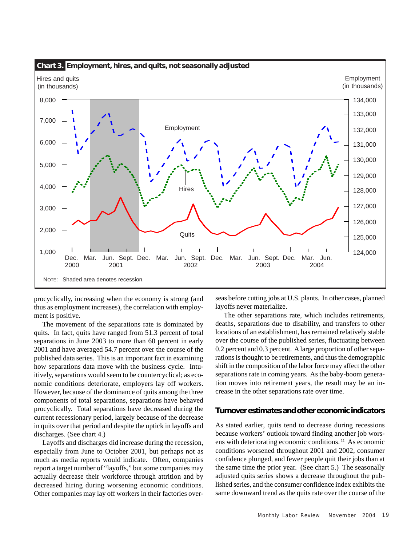

procyclically, increasing when the economy is strong (and thus as employment increases), the correlation with employment is positive.

The movement of the separations rate is dominated by quits. In fact, quits have ranged from 51.3 percent of total separations in June 2003 to more than 60 percent in early 2001 and have averaged 54.7 percent over the course of the published data series. This is an important fact in examining how separations data move with the business cycle. Intuitively, separations would seem to be countercyclical; as economic conditions deteriorate, employers lay off workers. However, because of the dominance of quits among the three components of total separations, separations have behaved procyclically. Total separations have decreased during the current recessionary period, largely because of the decrease in quits over that period and despite the uptick in layoffs and discharges. (See chart 4.)

Layoffs and discharges did increase during the recession, especially from June to October 2001, but perhaps not as much as media reports would indicate. Often, companies report a target number of "layoffs," but some companies may actually decrease their workforce through attrition and by decreased hiring during worsening economic conditions. Other companies may lay off workers in their factories over-

seas before cutting jobs at U.S. plants. In other cases, planned layoffs never materialize.

The other separations rate, which includes retirements, deaths, separations due to disability, and transfers to other locations of an establishment, has remained relatively stable over the course of the published series, fluctuating between 0.2 percent and 0.3 percent. A large proportion of other separations is thought to be retirements, and thus the demographic shift in the composition of the labor force may affect the other separations rate in coming years. As the baby-boom generation moves into retirement years, the result may be an increase in the other separations rate over time.

# **Turnover estimates and other economic indicators**

As stated earlier, quits tend to decrease during recessions because workers' outlook toward finding another job worsens with deteriorating economic conditions. 11 As economic conditions worsened throughout 2001 and 2002, consumer confidence plunged, and fewer people quit their jobs than at the same time the prior year. (See chart 5.) The seasonally adjusted quits series shows a decrease throughout the published series, and the consumer confidence index exhibits the same downward trend as the quits rate over the course of the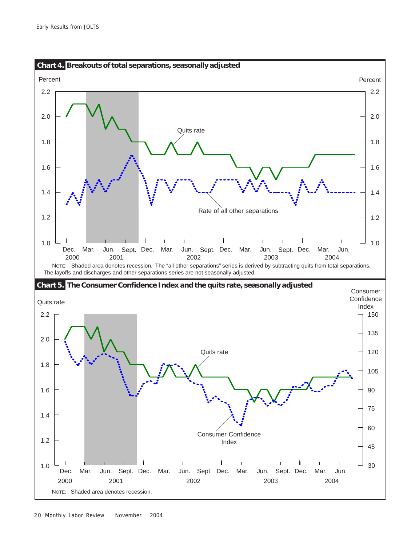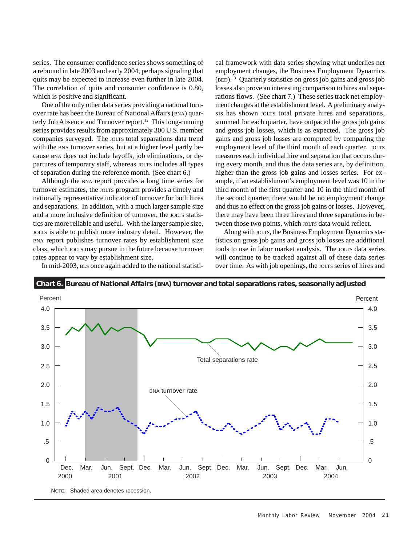series. The consumer confidence series shows something of a rebound in late 2003 and early 2004, perhaps signaling that quits may be expected to increase even further in late 2004. The correlation of quits and consumer confidence is 0.80, which is positive and significant.

One of the only other data series providing a national turnover rate has been the Bureau of National Affairs (BNA) quarterly Job Absence and Turnover report.<sup>12</sup> This long-running series provides results from approximately 300 U.S. member companies surveyed. The JOLTS total separations data trend with the BNA turnover series, but at a higher level partly because BNA does not include layoffs, job eliminations, or departures of temporary staff, whereas JOLTS includes all types of separation during the reference month. (See chart 6.)

Although the BNA report provides a long time series for turnover estimates, the JOLTS program provides a timely and nationally representative indicator of turnover for both hires and separations. In addition, with a much larger sample size and a more inclusive definition of turnover, the JOLTS statistics are more reliable and useful. With the larger sample size, JOLTS is able to publish more industry detail. However, the BNA report publishes turnover rates by establishment size class, which JOLTS may pursue in the future because turnover rates appear to vary by establishment size.

In mid-2003, BLS once again added to the national statisti-

cal framework with data series showing what underlies net employment changes, the Business Employment Dynamics (BED).13 Quarterly statistics on gross job gains and gross job losses also prove an interesting comparison to hires and separations flows. (See chart 7.) These series track net employment changes at the establishment level. A preliminary analysis has shown JOLTS total private hires and separations, summed for each quarter, have outpaced the gross job gains and gross job losses, which is as expected. The gross job gains and gross job losses are computed by comparing the employment level of the third month of each quarter. JOLTS measures each individual hire and separation that occurs during every month, and thus the data series are, by definition, higher than the gross job gains and losses series. For example, if an establishment's employment level was 10 in the third month of the first quarter and 10 in the third month of the second quarter, there would be no employment change and thus no effect on the gross job gains or losses. However, there may have been three hires and three separations in between those two points, which JOLTS data would reflect.

Along with JOLTS, the Business Employment Dynamics statistics on gross job gains and gross job losses are additional tools to use in labor market analysis. The JOLTS data series will continue to be tracked against all of these data series over time. As with job openings, the JOLTS series of hires and

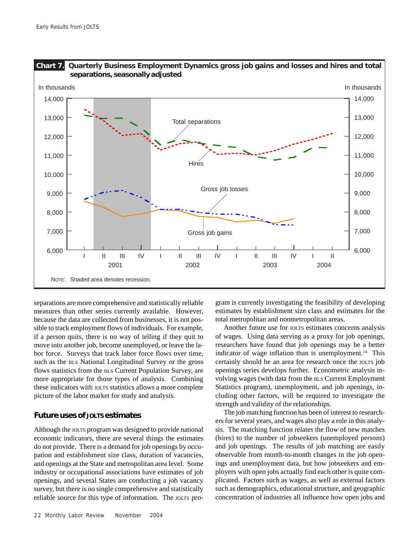

separations are more comprehensive and statistically reliable measures than other series currently available. However, because the data are collected from businesses, it is not possible to track employment flows of individuals. For example, if a person quits, there is no way of telling if they quit to move into another job, become unemployed, or leave the labor force. Surveys that track labor force flows over time, such as the BLS National Longitudinal Survey or the gross flows statistics from the BLS Current Population Survey, are more appropriate for those types of analysis. Combining these indicators with JOLTS statistics allows a more complete picture of the labor market for study and analysis.

# **Future uses of JOLTS estimates**

Although the JOLTS program was designed to provide national economic indicators, there are several things the estimates do not provide. There is a demand for job openings by occupation and establishment size class, duration of vacancies, and openings at the State and metropolitan area level. Some industry or occupational associations have estimates of job openings, and several States are conducting a job vacancy survey, but there is no single comprehensive and statistically reliable source for this type of information. The JOLTS pro-

22 Monthly Labor ReviewNovember 2004

gram is currently investigating the feasibility of developing estimates by establishment size class and estimates for the total metropolitan and nonmetropolitan areas.

Another future use for JOLTS estimates concerns analysis of wages. Using data serving as a proxy for job openings, researchers have found that job openings may be a better indicator of wage inflation than is unemployment.<sup>14</sup> This certainly should be an area for research once the JOLTS job openings series develops further. Econometric analysis involving wages (with data from the BLS Current Employment Statistics program), unemployment, and job openings, including other factors, will be required to investigate the strength and validity of the relationships.

The job matching function has been of interest to researchers for several years, and wages also play a role in this analysis. The matching function relates the flow of new matches (hires) to the number of jobseekers (unemployed persons) and job openings. The results of job matching are easily observable from month-to-month changes in the job openings and unemployment data, but how jobseekers and employers with open jobs actually find each other is quite complicated. Factors such as wages, as well as external factors such as demographics, educational structure, and geographic concentration of industries all influence how open jobs and